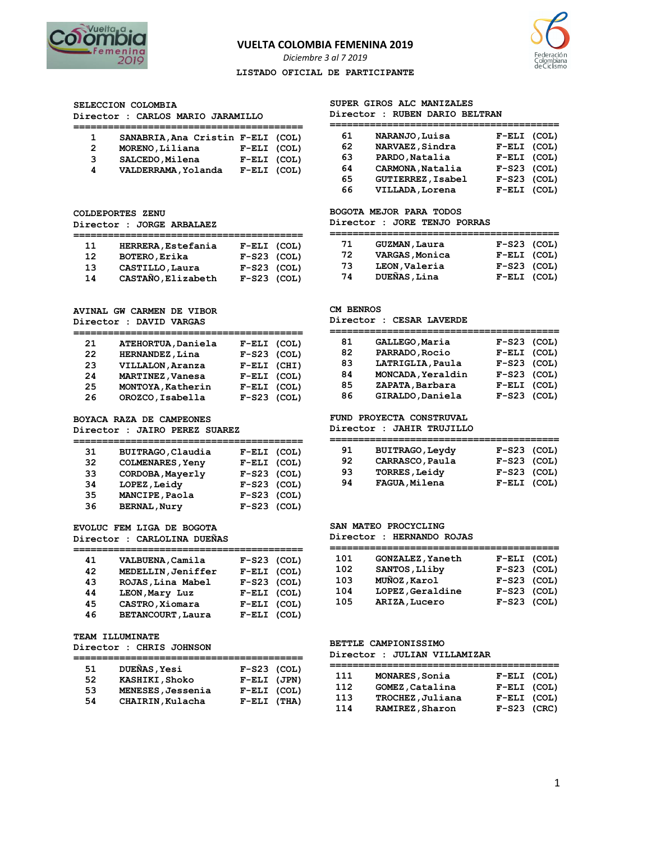

# **VUELTA COLOMBIA FEMENINA 2019**

*Diciembre 3 al 7 2019* 

#### **LISTADO OFICIAL DE PARTICIPANTE**



**SELECCION COLOMBIA** 

**Director : CARLOS MARIO JARAMILLO** 

|   | SANABRIA, Ana Cristin F-ELI (COL) |               |  |
|---|-----------------------------------|---------------|--|
| 2 | MORENO, Liliana                   | $F-ELI$ (COL) |  |
| 3 | SALCEDO, Milena                   | $F-ELI$ (COL) |  |
| 4 | VALDERRAMA, Yolanda               | $F-ELI$ (COL) |  |

**======================================== 11 HERRERA,Estefania F-ELI (COL) 12 BOTERO,Erika F-S23 (COL) 13 CASTILLO,Laura F-S23 (COL) 14 CASTAÑO,Elizabeth F-S23 (COL)** 

## **SUPER GIROS ALC MANIZALES**

# **Director : RUBEN DARIO BELTRAN**

| 61  | NARANJO, Luisa    | $F-ELI$ (COL) |
|-----|-------------------|---------------|
| 62. | NARVAEZ, Sindra   | F-ELI (COL)   |
| 63  | PARDO, Natalia    | F-ELI (COL)   |
| 64  | CARMONA, Natalia  | $F-S23$ (COL) |
| 65  | GUTIERREZ, Isabel | $F-S23$ (COL) |
| 66  | VILLADA, Lorena   | F-ELI (COL)   |

# **BOGOTA MEJOR PARA TODOS**

**Director : JORE TENJO PORRAS** 

| 71 | <b>GUZMAN, Laura</b> | $F-S23$ (COL) |  |
|----|----------------------|---------------|--|
| 72 | VARGAS, Monica       | $F-ELI$ (COL) |  |
| 73 | LEON, Valeria        | $F-S23$ (COL) |  |
| 74 | DUEÑAS, Lina         | $F-ELI$ (COL) |  |

|  |                         | <b>AVINAL GW CARMEN DE VIBOR</b> |  |
|--|-------------------------|----------------------------------|--|
|  | Director : DAVID VARGAS |                                  |  |

**Director : JORGE ARBALAEZ** 

**Director : DAVID VARGAS** 

**COLDEPORTES ZENU** 

| 21 | ATEHORTUA, Daniela | $F-ELI$ (COL) |
|----|--------------------|---------------|
| 22 | HERNANDEZ, Lina    | $F-S23$ (COL) |
| 23 | VILLALON, Aranza   | $F-ELI$ (CHI) |
| 24 | MARTINEZ, Vanesa   | F-ELI (COL)   |
| 25 | MONTOYA, Katherin  | $F-ELI$ (COL) |
| 26 | OROZCO, Isabella   | $F-S23$ (COL) |

**BOYACA RAZA DE CAMPEONES** 

**Director : JAIRO PEREZ SUAREZ** 

| 31 | BUITRAGO, Claudia       | F-ELI (COL)   |
|----|-------------------------|---------------|
| 32 | <b>COLMENARES, Yeny</b> | F-ELI (COL)   |
| 33 | CORDOBA, Mayerly        | $F-S23$ (COL) |
| 34 | LOPEZ, Leidy            | $F-S23$ (COL) |
| 35 | MANCIPE, Paola          | $F-S23$ (COL) |
| 36 | <b>BERNAL, Nury</b>     | $F-S23$ (COL) |

**EVOLUC FEM LIGA DE BOGOTA Director : CARLOLINA DUEÑAS** 

| 41 | VALBUENA, Camila   | $F-S23$ (COL) |
|----|--------------------|---------------|
| 42 | MEDELLIN, Jeniffer | $F-ELI$ (COL) |
| 43 | ROJAS, Lina Mabel  | $F-S23$ (COL) |
| 44 | LEON, Mary Luz     | $F-ELI$ (COL) |
| 45 | CASTRO, Xiomara    | $F-ELI$ (COL) |
| 46 | BETANCOURT, Laura  | F-ELI (COL)   |
|    |                    |               |

|  | TEAM ILLUMINATE |
|--|-----------------|
|--|-----------------|

#### **Director : CHRIS JOHNSON**

| 51 | DUEÑAS, Yesi      | $F-S23$ (COL) |  |
|----|-------------------|---------------|--|
| 52 | KASHIKI, Shoko    | $F-ELI$ (JPN) |  |
| 53 | MENESES, Jessenia | F-ELI (COL)   |  |
| 54 | CHAIRIN, Kulacha  | $F-ELI$ (THA) |  |

## **CM BENROS**

#### **Director : CESAR LAVERDE**

| 81 | GALLEGO, Maria    | $F-S23$ (COL) |
|----|-------------------|---------------|
| 82 | PARRADO, Rocio    | F-ELI (COL)   |
| 83 | LATRIGLIA, Paula  | $F-S23$ (COL) |
| 84 | MONCADA, Yeraldin | $F-S23$ (COL) |
| 85 | ZAPATA, Barbara   | F-ELI (COL)   |
| 86 | GIRALDO, Daniela  | $F-S23$ (COL) |

### **FUND PROYECTA CONSTRUVAL**

**Director : JAHIR TRUJILLO** 

| 91  | <b>BUITRAGO, Leydy</b> | $F-S23$ (COL) |
|-----|------------------------|---------------|
| 92. | CARRASCO, Paula        | $F-S23$ (COL) |
| 93  | <b>TORRES, Leidy</b>   | $F-S23$ (COL) |
| 94  | FAGUA, Milena          | F-ELI (COL)   |

#### **SAN MATEO PROCYCLING**

**Director : HERNANDO ROJAS** 

| 101 | GONZALEZ, Yaneth | F-ELI (COL)   |
|-----|------------------|---------------|
| 102 | SANTOS, Lliby    | $F-S23$ (COL) |
| 103 | MUÑOZ, Karol     | $F-S23$ (COL) |
| 104 | LOPEZ, Geraldine | $F-S23$ (COL) |
| 105 | ARIZA, Lucero    | $F-S23$ (COL) |

#### **BETTLE CAMPIONISSIMO Director : JULIAN VILLAMIZAR**

| 111 | MONARES, Sonia   | F-ELI (COL)   |  |
|-----|------------------|---------------|--|
| 112 | GOMEZ, Catalina  | F-ELI (COL)   |  |
| 113 | TROCHEZ, Juliana | F-ELI (COL)   |  |
| 114 | RAMIREZ, Sharon  | $F-S23$ (CRC) |  |